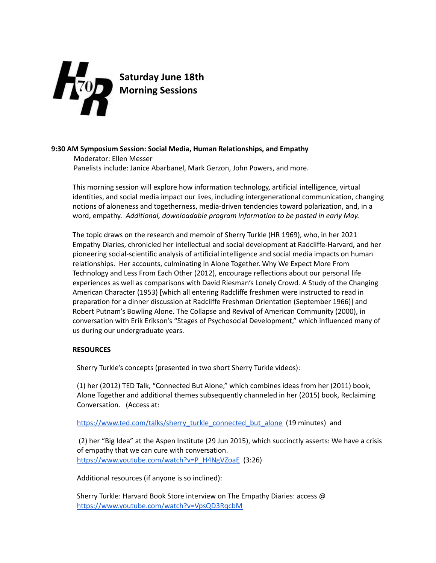

**Saturday June 18th Morning Sessions**

## **9:30 AM Symposium Session: Social Media, Human Relationships, and Empathy**

Moderator: Ellen Messer Panelists include: Janice Abarbanel, Mark Gerzon, John Powers, and more.

This morning session will explore how information technology, artificial intelligence, virtual identities, and social media impact our lives, including intergenerational communication, changing notions of aloneness and togetherness, media-driven tendencies toward polarization, and, in a word, empathy. *Additional, downloadable program information to be posted in early May.*

The topic draws on the research and memoir of Sherry Turkle (HR 1969), who, in her 2021 Empathy Diaries, chronicled her intellectual and social development at Radcliffe-Harvard, and her pioneering social-scientific analysis of artificial intelligence and social media impacts on human relationships. Her accounts, culminating in Alone Together. Why We Expect More From Technology and Less From Each Other (2012), encourage reflections about our personal life experiences as well as comparisons with David Riesman's Lonely Crowd. A Study of the Changing American Character (1953) [which all entering Radcliffe freshmen were instructed to read in preparation for a dinner discussion at Radcliffe Freshman Orientation (September 1966)] and Robert Putnam's Bowling Alone. The Collapse and Revival of American Community (2000), in conversation with Erik Erikson's "Stages of Psychosocial Development," which influenced many of us during our undergraduate years.

## **RESOURCES**

Sherry Turkle's concepts (presented in two short Sherry Turkle videos):

(1) her (2012) TED Talk, "Connected But Alone," which combines ideas from her (2011) book, Alone Together and additional themes subsequently channeled in her (2015) book, Reclaiming Conversation. (Access at:

[https://www.ted.com/talks/sherry\\_turkle\\_connected\\_but\\_alone](https://www.ted.com/talks/sherry_turkle_connected_but_alone) (19 minutes) and

(2) her "Big Idea" at the Aspen Institute (29 Jun 2015), which succinctly asserts: We have a crisis of empathy that we can cure with conversation. [https://www.youtube.com/watch?v=P\\_H4NgVZoaE](https://www.youtube.com/watch?v=P_H4NgVZoaE) (3:26)

Additional resources (if anyone is so inclined):

Sherry Turkle: Harvard Book Store interview on The Empathy Diaries: access @ <https://www.youtube.com/watch?v=VpsQD3RqcbM>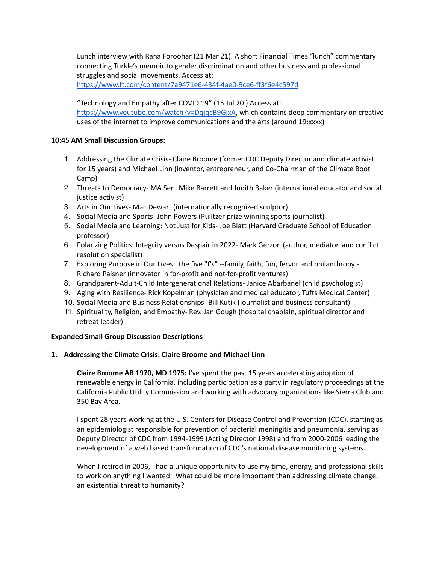Lunch interview with Rana Foroohar (21 Mar 21). A short Financial Times "lunch" commentary connecting Turkle's memoir to gender discrimination and other business and professional struggles and social movements. Access at:

<https://www.ft.com/content/7a9471e6-434f-4ae0-9ce6-ff3f6e4c597d>

"Technology and Empathy after COVID 19" (15 Jul 20 ) Access at:

<https://www.youtube.com/watch?v=DqjqcB9GjxA>, which contains deep commentary on creative uses of the internet to improve communications and the arts (around 19:xxxx)

# **10:45 AM Small Discussion Groups:**

- 1. Addressing the Climate Crisis- Claire Broome (former CDC Deputy Director and climate activist for 15 years) and Michael Linn (inventor, entrepreneur, and Co-Chairman of the Climate Boot Camp)
- 2. Threats to Democracy- MA Sen. Mike Barrett and Judith Baker (international educator and social justice activist)
- 3. Arts in Our Lives- Mac Dewart (internationally recognized sculptor)
- 4. Social Media and Sports- John Powers (Pulitzer prize winning sports journalist)
- 5. Social Media and Learning: Not Just for Kids- Joe Blatt (Harvard Graduate School of Education professor)
- 6. Polarizing Politics: Integrity versus Despair in 2022- Mark Gerzon (author, mediator, and conflict resolution specialist)
- 7. Exploring Purpose in Our Lives: the five "f's" --family, faith, fun, fervor and philanthropy Richard Paisner (innovator in for-profit and not-for-profit ventures)
- 8. Grandparent-Adult-Child Intergenerational Relations- Janice Abarbanel (child psychologist)
- 9. Aging with Resilience- Rick Kopelman (physician and medical educator, Tufts Medical Center)
- 10. Social Media and Business Relationships- Bill Kutik (journalist and business consultant)
- 11. Spirituality, Religion, and Empathy- Rev. Jan Gough (hospital chaplain, spiritual director and retreat leader)

# **Expanded Small Group Discussion Descriptions**

# **1. Addressing the Climate Crisis: Claire Broome and Michael Linn**

**Claire Broome AB 1970, MD 1975:** I've spent the past 15 years accelerating adoption of renewable energy in California, including participation as a party in regulatory proceedings at the California Public Utility Commission and working with advocacy organizations like Sierra Club and 350 Bay Area.

I spent 28 years working at the U.S. Centers for Disease Control and Prevention (CDC), starting as an epidemiologist responsible for prevention of bacterial meningitis and pneumonia, serving as Deputy Director of CDC from 1994-1999 (Acting Director 1998) and from 2000-2006 leading the development of a web based transformation of CDC's national disease monitoring systems.

When I retired in 2006, I had a unique opportunity to use my time, energy, and professional skills to work on anything I wanted. What could be more important than addressing climate change, an existential threat to humanity?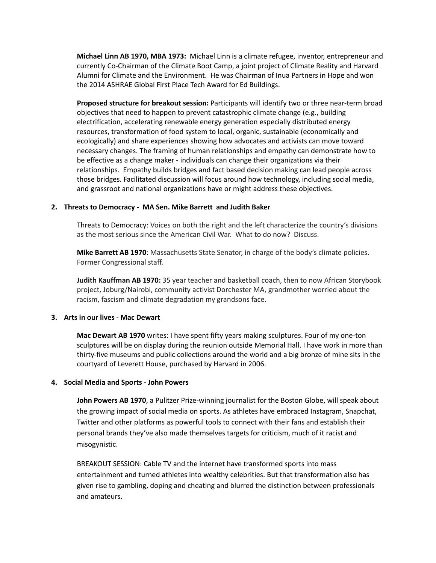**Michael Linn AB 1970, MBA 1973:** Michael Linn is a climate refugee, inventor, entrepreneur and currently Co-Chairman of the Climate Boot Camp, a joint project of Climate Reality and Harvard Alumni for Climate and the Environment. He was Chairman of Inua Partners in Hope and won the 2014 ASHRAE Global First Place Tech Award for Ed Buildings.

**Proposed structure for breakout session:** Participants will identify two or three near-term broad objectives that need to happen to prevent catastrophic climate change (e.g., building electrification, accelerating renewable energy generation especially distributed energy resources, transformation of food system to local, organic, sustainable (economically and ecologically) and share experiences showing how advocates and activists can move toward necessary changes. The framing of human relationships and empathy can demonstrate how to be effective as a change maker - individuals can change their organizations via their relationships. Empathy builds bridges and fact based decision making can lead people across those bridges. Facilitated discussion will focus around how technology, including social media, and grassroot and national organizations have or might address these objectives.

### **2. Threats to Democracy - MA Sen. Mike Barrett and Judith Baker**

Threats to Democracy: Voices on both the right and the left characterize the country's divisions as the most serious since the American Civil War. What to do now? Discuss.

**Mike Barrett AB 1970**: Massachusetts State Senator, in charge of the body's climate policies. Former Congressional staff.

**Judith Kauffman AB 1970:** 35 year teacher and basketball coach, then to now African Storybook project, Joburg/Nairobi, community activist Dorchester MA, grandmother worried about the racism, fascism and climate degradation my grandsons face.

#### **3. Arts in our lives - Mac Dewart**

**Mac Dewart AB 1970** writes: I have spent fifty years making sculptures. Four of my one-ton sculptures will be on display during the reunion outside Memorial Hall. I have work in more than thirty-five museums and public collections around the world and a big bronze of mine sits in the courtyard of Leverett House, purchased by Harvard in 2006.

#### **4. Social Media and Sports - John Powers**

**John Powers AB 1970**, a Pulitzer Prize-winning journalist for the Boston Globe, will speak about the growing impact of social media on sports. As athletes have embraced Instagram, Snapchat, Twitter and other platforms as powerful tools to connect with their fans and establish their personal brands they've also made themselves targets for criticism, much of it racist and misogynistic.

BREAKOUT SESSION: Cable TV and the internet have transformed sports into mass entertainment and turned athletes into wealthy celebrities. But that transformation also has given rise to gambling, doping and cheating and blurred the distinction between professionals and amateurs.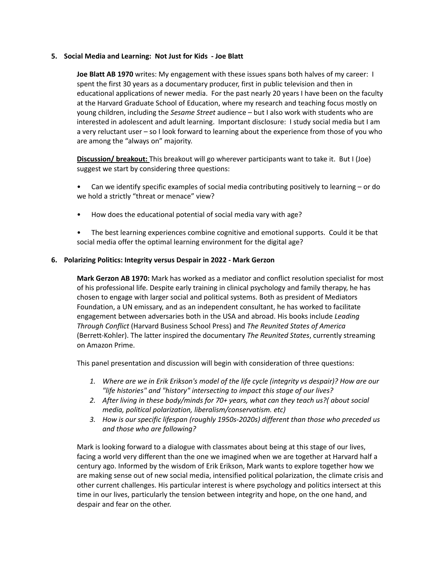### **5. Social Media and Learning: Not Just for Kids - Joe Blatt**

**Joe Blatt AB 1970** writes: My engagement with these issues spans both halves of my career: I spent the first 30 years as a documentary producer, first in public television and then in educational applications of newer media. For the past nearly 20 years I have been on the faculty at the Harvard Graduate School of Education, where my research and teaching focus mostly on young children, including the *Sesame Street* audience – but I also work with students who are interested in adolescent and adult learning. Important disclosure: I study social media but I am a very reluctant user – so I look forward to learning about the experience from those of you who are among the "always on" majority.

**Discussion/ breakout:** This breakout will go wherever participants want to take it. But I (Joe) suggest we start by considering three questions:

- Can we identify specific examples of social media contributing positively to learning or do we hold a strictly "threat or menace" view?
- How does the educational potential of social media vary with age?
- The best learning experiences combine cognitive and emotional supports. Could it be that social media offer the optimal learning environment for the digital age?

### **6. Polarizing Politics: Integrity versus Despair in 2022 - Mark Gerzon**

**Mark Gerzon AB 1970:** Mark has worked as a mediator and conflict resolution specialist for most of his professional life. Despite early training in clinical psychology and family therapy, he has chosen to engage with larger social and political systems. Both as president of Mediators Foundation, a UN emissary, and as an independent consultant, he has worked to facilitate engagement between adversaries both in the USA and abroad. His books include *Leading Through Conflict* (Harvard Business School Press) and *The Reunited States of America* (Berrett-Kohler). The latter inspired the documentary *The Reunited States*, currently streaming on Amazon Prime.

This panel presentation and discussion will begin with consideration of three questions:

- *1. Where are we in Erik Erikson's model of the life cycle (integrity vs despair)? How are our "life histories" and "history" intersecting to impact this stage of our lives?*
- *2. After living in these body/minds for 70+ years, what can they teach us?( about social media, political polarization, liberalism/conservatism. etc)*
- *3. How is our specific lifespan (roughly 1950s-2020s) different than those who preceded us and those who are following?*

Mark is looking forward to a dialogue with classmates about being at this stage of our lives, facing a world very different than the one we imagined when we are together at Harvard half a century ago. Informed by the wisdom of Erik Erikson, Mark wants to explore together how we are making sense out of new social media, intensified political polarization, the climate crisis and other current challenges. His particular interest is where psychology and politics intersect at this time in our lives, particularly the tension between integrity and hope, on the one hand, and despair and fear on the other.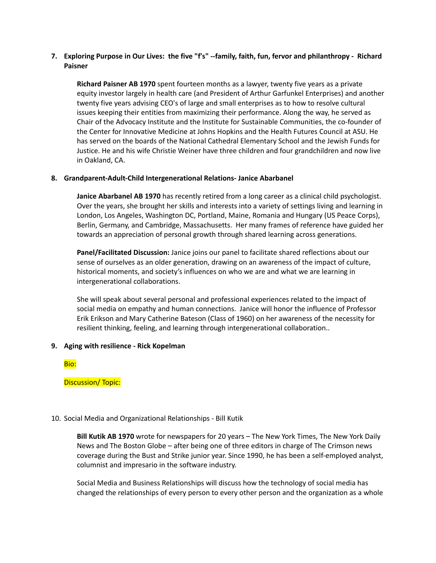# **7. Exploring Purpose in Our Lives: the five "f's" --family, faith, fun, fervor and philanthropy - Richard Paisner**

**Richard Paisner AB 1970** spent fourteen months as a lawyer, twenty five years as a private equity investor largely in health care (and President of Arthur Garfunkel Enterprises) and another twenty five years advising CEO's of large and small enterprises as to how to resolve cultural issues keeping their entities from maximizing their performance. Along the way, he served as Chair of the Advocacy Institute and the Institute for Sustainable Communities, the co-founder of the Center for Innovative Medicine at Johns Hopkins and the Health Futures Council at ASU. He has served on the boards of the National Cathedral Elementary School and the Jewish Funds for Justice. He and his wife Christie Weiner have three children and four grandchildren and now live in Oakland, CA.

## **8. Grandparent-Adult-Child Intergenerational Relations- Janice Abarbanel**

**Janice Abarbanel AB 1970** has recently retired from a long career as a clinical child psychologist. Over the years, she brought her skills and interests into a variety of settings living and learning in London, Los Angeles, Washington DC, Portland, Maine, Romania and Hungary (US Peace Corps), Berlin, Germany, and Cambridge, Massachusetts. Her many frames of reference have guided her towards an appreciation of personal growth through shared learning across generations.

**Panel/Facilitated Discussion:** Janice joins our panel to facilitate shared reflections about our sense of ourselves as an older generation, drawing on an awareness of the impact of culture, historical moments, and society's influences on who we are and what we are learning in intergenerational collaborations.

She will speak about several personal and professional experiences related to the impact of social media on empathy and human connections. Janice will honor the influence of Professor Erik Erikson and Mary Catherine Bateson (Class of 1960) on her awareness of the necessity for resilient thinking, feeling, and learning through intergenerational collaboration..

#### **9. Aging with resilience - Rick Kopelman**

Bio:

## Discussion/ Topic:

#### 10. Social Media and Organizational Relationships - Bill Kutik

**Bill Kutik AB 1970** wrote for newspapers for 20 years – The New York Times, The New York Daily News and The Boston Globe – after being one of three editors in charge of The Crimson news coverage during the Bust and Strike junior year. Since 1990, he has been a self-employed analyst, columnist and impresario in the software industry.

Social Media and Business Relationships will discuss how the technology of social media has changed the relationships of every person to every other person and the organization as a whole